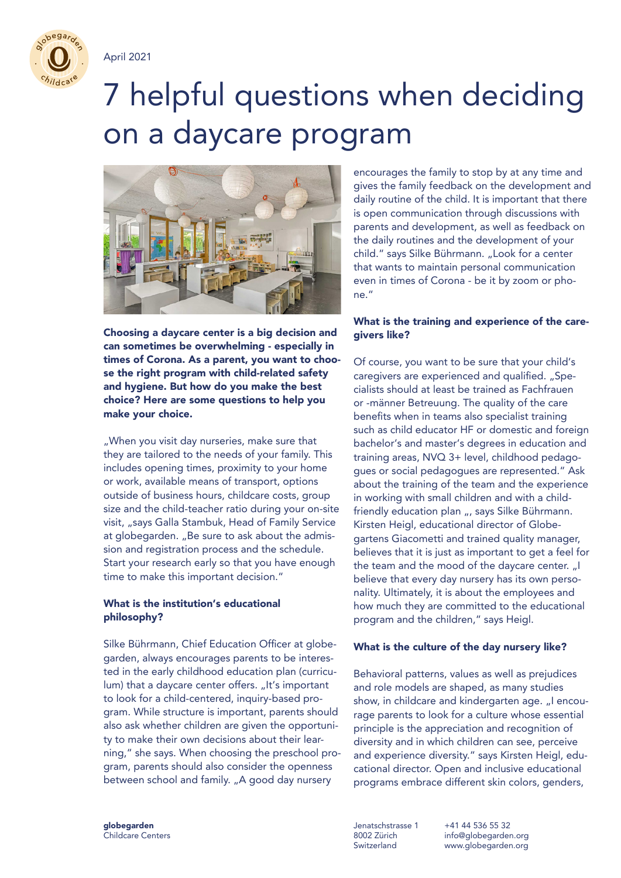

April 2021

# 7 helpful questions when deciding on a daycare program



Choosing a daycare center is a big decision and can sometimes be overwhelming - especially in times of Corona. As a parent, you want to choose the right program with child-related safety and hygiene. But how do you make the best choice? Here are some questions to help you make your choice.

"When you visit day nurseries, make sure that they are tailored to the needs of your family. This includes opening times, proximity to your home or work, available means of transport, options outside of business hours, childcare costs, group size and the child-teacher ratio during your on-site visit, "says Galla Stambuk, Head of Family Service at globegarden. "Be sure to ask about the admission and registration process and the schedule. Start your research early so that you have enough time to make this important decision."

### What is the institution's educational philosophy?

Silke Bührmann, Chief Education Officer at globegarden, always encourages parents to be interested in the early childhood education plan (curriculum) that a daycare center offers. "It's important to look for a child-centered, inquiry-based program. While structure is important, parents should also ask whether children are given the opportunity to make their own decisions about their learning," she says. When choosing the preschool program, parents should also consider the openness between school and family. "A good day nursery

encourages the family to stop by at any time and gives the family feedback on the development and daily routine of the child. It is important that there is open communication through discussions with parents and development, as well as feedback on the daily routines and the development of your child." says Silke Bührmann. "Look for a center that wants to maintain personal communication even in times of Corona - be it by zoom or phone."

## What is the training and experience of the caregivers like?

Of course, you want to be sure that your child's caregivers are experienced and qualified. "Specialists should at least be trained as Fachfrauen or -männer Betreuung. The quality of the care benefits when in teams also specialist training such as child educator HF or domestic and foreign bachelor's and master's degrees in education and training areas, NVQ 3+ level, childhood pedagogues or social pedagogues are represented." Ask about the training of the team and the experience in working with small children and with a childfriendly education plan ... says Silke Bührmann. Kirsten Heigl, educational director of Globegartens Giacometti and trained quality manager, believes that it is just as important to get a feel for the team and the mood of the daycare center. "I believe that every day nursery has its own personality. Ultimately, it is about the employees and how much they are committed to the educational program and the children," says Heigl.

#### What is the culture of the day nursery like?

Behavioral patterns, values as well as prejudices and role models are shaped, as many studies show, in childcare and kindergarten age. "I encourage parents to look for a culture whose essential principle is the appreciation and recognition of diversity and in which children can see, perceive and experience diversity." says Kirsten Heigl, educational director. Open and inclusive educational programs embrace different skin colors, genders,

globegarden Childcare Centers

Jenatschstrasse 1 8002 Zürich **Switzerland** 

+41 44 536 55 32 info@globegarden.org www.globegarden.org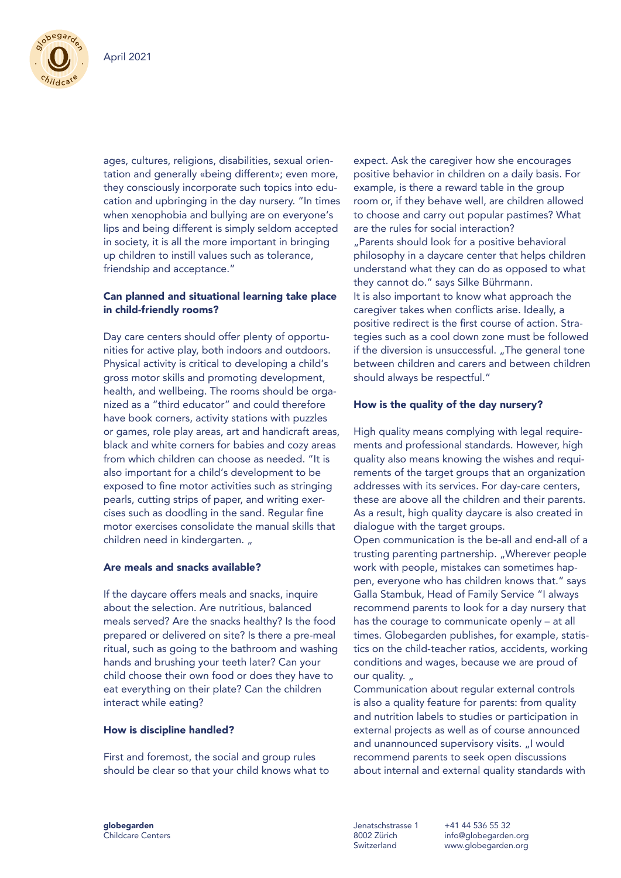

ages, cultures, religions, disabilities, sexual orientation and generally «being different»; even more, they consciously incorporate such topics into education and upbringing in the day nursery. "In times when xenophobia and bullying are on everyone's lips and being different is simply seldom accepted in society, it is all the more important in bringing up children to instill values such as tolerance, friendship and acceptance."

### Can planned and situational learning take place in child-friendly rooms?

Day care centers should offer plenty of opportunities for active play, both indoors and outdoors. Physical activity is critical to developing a child's gross motor skills and promoting development, health, and wellbeing. The rooms should be organized as a "third educator" and could therefore have book corners, activity stations with puzzles or games, role play areas, art and handicraft areas, black and white corners for babies and cozy areas from which children can choose as needed. "It is also important for a child's development to be exposed to fine motor activities such as stringing pearls, cutting strips of paper, and writing exercises such as doodling in the sand. Regular fine motor exercises consolidate the manual skills that children need in kindergarten.

### Are meals and snacks available?

If the daycare offers meals and snacks, inquire about the selection. Are nutritious, balanced meals served? Are the snacks healthy? Is the food prepared or delivered on site? Is there a pre-meal ritual, such as going to the bathroom and washing hands and brushing your teeth later? Can your child choose their own food or does they have to eat everything on their plate? Can the children interact while eating?

#### How is discipline handled?

First and foremost, the social and group rules should be clear so that your child knows what to expect. Ask the caregiver how she encourages positive behavior in children on a daily basis. For example, is there a reward table in the group room or, if they behave well, are children allowed to choose and carry out popular pastimes? What are the rules for social interaction? "Parents should look for a positive behavioral philosophy in a daycare center that helps children understand what they can do as opposed to what they cannot do." says Silke Bührmann. It is also important to know what approach the caregiver takes when conflicts arise. Ideally, a positive redirect is the first course of action. Strategies such as a cool down zone must be followed if the diversion is unsuccessful. "The general tone between children and carers and between children should always be respectful."

#### How is the quality of the day nursery?

High quality means complying with legal requirements and professional standards. However, high quality also means knowing the wishes and requirements of the target groups that an organization addresses with its services. For day-care centers, these are above all the children and their parents. As a result, high quality daycare is also created in dialogue with the target groups. Open communication is the be-all and end-all of a trusting parenting partnership. "Wherever people work with people, mistakes can sometimes happen, everyone who has children knows that." says Galla Stambuk, Head of Family Service "I always recommend parents to look for a day nursery that has the courage to communicate openly – at all times. Globegarden publishes, for example, statistics on the child-teacher ratios, accidents, working conditions and wages, because we are proud of our quality.  $\mu$ 

Communication about regular external controls is also a quality feature for parents: from quality and nutrition labels to studies or participation in external projects as well as of course announced and unannounced supervisory visits. "I would recommend parents to seek open discussions about internal and external quality standards with

Jenatschstrasse 1 8002 Zürich Switzerland

+41 44 536 55 32 info@globegarden.org www.globegarden.org